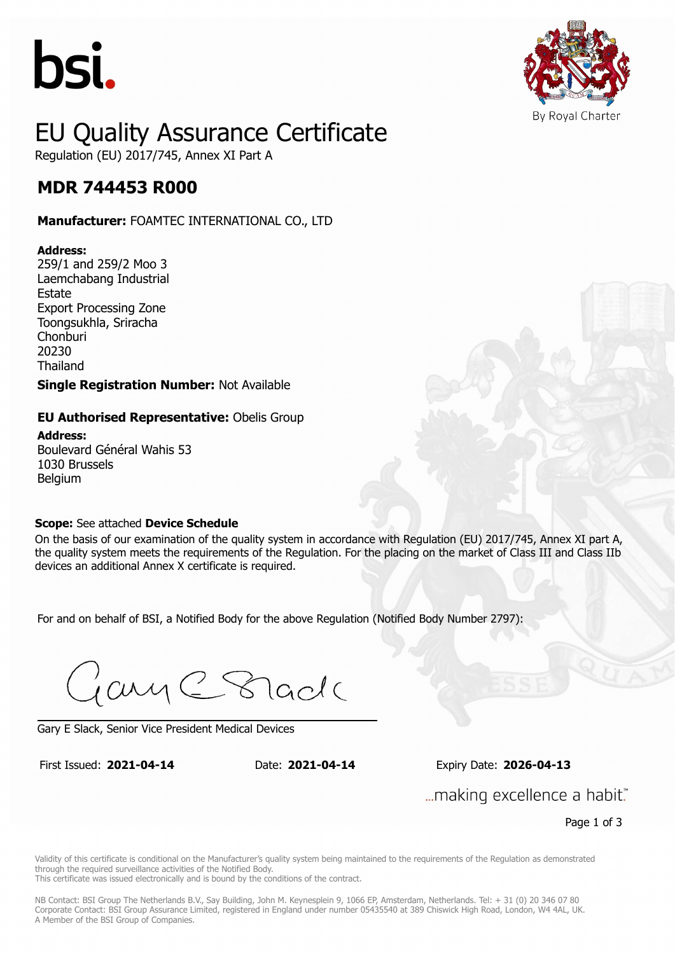



## EU Quality Assurance Certificate Regulation (EU) 2017/745, Annex XI Part A

### **MDR 744453 R000 MDR 744453 R000**

**Manufacturer:** FOAMTEC INTERNATIONAL CO., LTD

#### **Address:**

259/1 and 259/2 Moo 3 Laemchabang Industrial **Estate** Export Processing Zone Toongsukhla, Sriracha Chonburi 20230 Thailand

**Single Registration Number:** Not Available

## **EU Authorised Representative:** Obelis Group

**Address:** Boulevard Général Wahis 53 1030 Brussels **Belgium** 

### **Scope:** See attached **Device Schedule**

On the basis of our examination of the quality system in accordance with Regulation (EU) 2017/745, Annex XI part A, the quality system meets the requirements of the Regulation. For the placing on the market of Class III and Class IIb devices an additional Annex X certificate is required.

For and on behalf of BSI, a Notified Body for the above Regulation (Notified Body Number 2797):

Gary C Stade

Gary E Slack, Senior Vice President Medical Devices

First Issued: **2021-04-14** Date: **2021-04-14** Expiry Date: **2026-04-13** First Issued: **2021-04-14** Date: **2021-04-14** Expiry Date: **2026-04-13**

... making excellence a habit."

Page 1 of 3

Validity of this certificate is conditional on the Manufacturer's quality system being maintained to the requirements of the Regulation as demonstrated through the required surveillance activities of the Notified Body.

This certificate was issued electronically and is bound by the conditions of the contract.

NB Contact: BSI Group The Netherlands B.V., Say Building, John M. Keynesplein 9, 1066 EP, Amsterdam, Netherlands. Tel: + 31 (0) 20 346 07 80 Corporate Contact: BSI Group Assurance Limited, registered in England under number 05435540 at 389 Chiswick High Road, London, W4 4AL, UK. A Member of the BSI Group of Companies.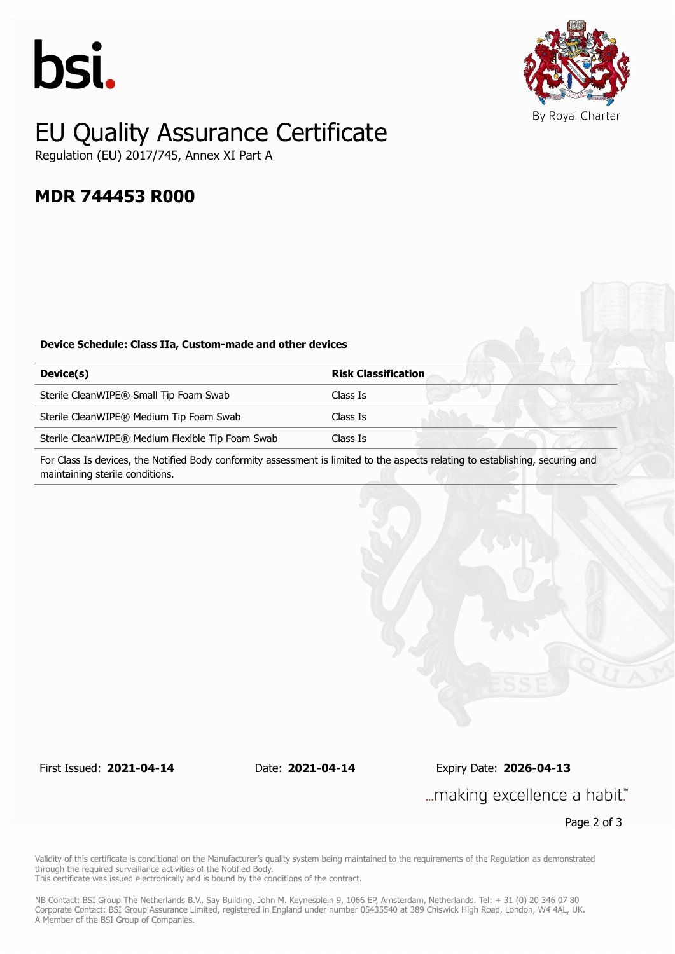



## EU Quality Assurance Certificate Regulation (EU) 2017/745, Annex XI Part A

## **MDR 744453 R000**

#### **Device Schedule: Class IIa, Custom-made and other devices**

| Device(s)                                        | <b>Risk Classification</b> |
|--------------------------------------------------|----------------------------|
| Sterile CleanWIPE® Small Tip Foam Swab           | Class Is                   |
| Sterile CleanWIPE® Medium Tip Foam Swab          | Class Is                   |
| Sterile CleanWIPE® Medium Flexible Tip Foam Swab | Class Is                   |
|                                                  |                            |

For Class Is devices, the Notified Body conformity assessment is limited to the aspects relating to establishing, securing and maintaining sterile conditions.

First Issued: **2021-04-14** Date: **2021-04-14** Expiry Date: **2026-04-13**

... making excellence a habit."

Page 2 of 3

Validity of this certificate is conditional on the Manufacturer's quality system being maintained to the requirements of the Regulation as demonstrated through the required surveillance activities of the Notified Body.

This certificate was issued electronically and is bound by the conditions of the contract.

NB Contact: BSI Group The Netherlands B.V., Say Building, John M. Keynesplein 9, 1066 EP, Amsterdam, Netherlands. Tel: + 31 (0) 20 346 07 80 Corporate Contact: BSI Group Assurance Limited, registered in England under number 05435540 at 389 Chiswick High Road, London, W4 4AL, UK. A Member of the BSI Group of Companies.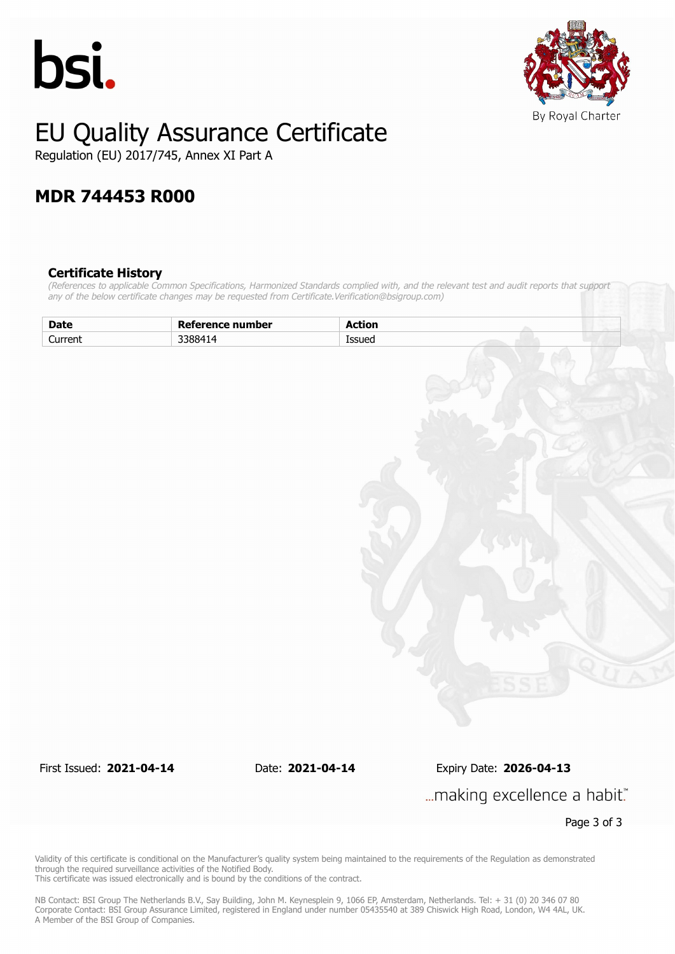



# EU Quality Assurance Certificate

Regulation (EU) 2017/745, Annex XI Part A

# **MDR 744453 R000**

### **Certificate History**

*(References to applicable Common Specifications, Harmonized Standards complied with, and the relevant test and audit reports that support any of the below certificate changes may be requested from Certificate.Verification@bsigroup.com)*

| <b>Date</b> | Reference number | <b>Action</b> |
|-------------|------------------|---------------|
| Current     | 3388414          | Issued        |
|             |                  |               |
|             |                  |               |
|             |                  |               |
|             |                  |               |
|             |                  |               |
|             |                  |               |
|             |                  |               |
|             |                  |               |
|             |                  |               |
|             |                  |               |
|             |                  |               |
|             |                  |               |
|             |                  |               |
|             |                  |               |
|             |                  |               |
|             |                  |               |
|             |                  |               |
|             |                  |               |
|             |                  |               |
|             |                  |               |
|             |                  |               |
|             |                  | E             |

First Issued: **2021-04-14** Date: **2021-04-14** Expiry Date: **2026-04-13** ... making excellence a habit."

Page 3 of 3

Validity of this certificate is conditional on the Manufacturer's quality system being maintained to the requirements of the Regulation as demonstrated through the required surveillance activities of the Notified Body. This certificate was issued electronically and is bound by the conditions of the contract.

NB Contact: BSI Group The Netherlands B.V., Say Building, John M. Keynesplein 9, 1066 EP, Amsterdam, Netherlands. Tel: + 31 (0) 20 346 07 80 Corporate Contact: BSI Group Assurance Limited, registered in England under number 05435540 at 389 Chiswick High Road, London, W4 4AL, UK. A Member of the BSI Group of Companies.